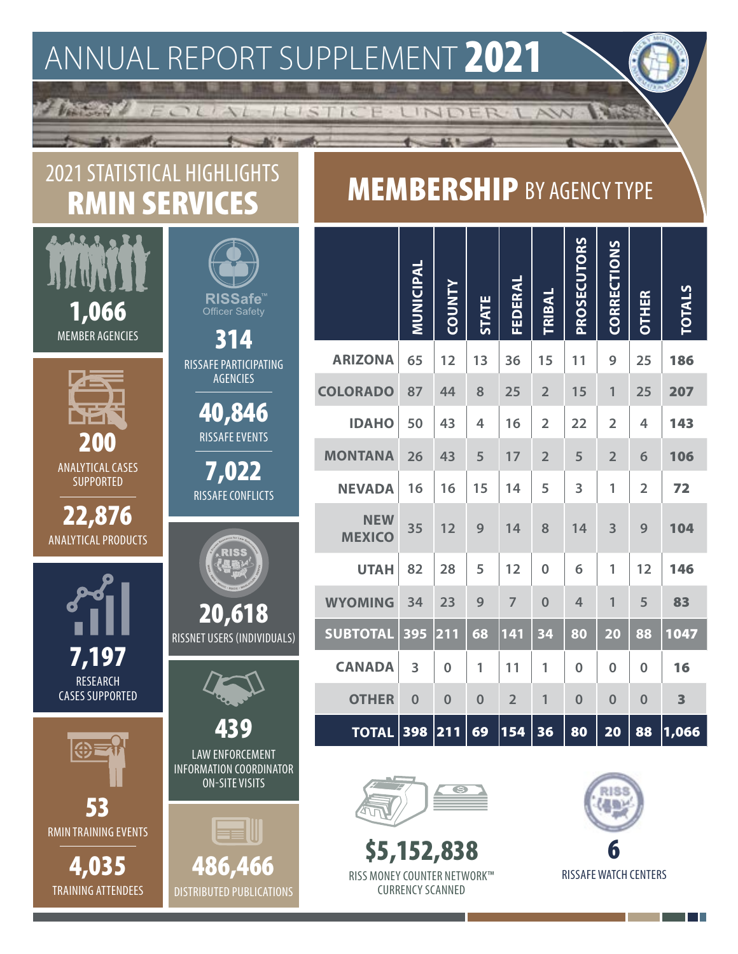## ANNUAL REPORT SUPPLEMENT 2021

 $4 - 4 - 4 = 12$ 

-ILISTIC

## 2021 STATISTICAL HIGHLIGHTS RMIN SERVICES

EOLIAL

Ventural &

|                                             | <b>RISSafe</b> ™                                                                  |
|---------------------------------------------|-----------------------------------------------------------------------------------|
| 1,066<br><b>MEMBER AGENCIES</b>             | <b>Officer Safety</b><br>314                                                      |
|                                             | RISSAFE PARTICIPATING<br><b>AGENCIES</b>                                          |
|                                             | 40,846                                                                            |
| 211                                         | <b>RISSAFE EVENTS</b>                                                             |
| <b>ANALYTICAL CASES</b><br><b>SUPPORTED</b> | 7,022                                                                             |
| 22,876                                      | <b>RISSAFE CONFLICTS</b>                                                          |
| <b>ANALYTICAL PRODUCTS</b>                  |                                                                                   |
|                                             |                                                                                   |
|                                             | 20,618                                                                            |
| 7,197                                       | RISSNET USERS (INDIVIDUALS)                                                       |
| <b>RESEARCH</b><br><b>CASES SUPPORTED</b>   |                                                                                   |
|                                             | RC                                                                                |
|                                             | <b>LAW ENFORCEMENT</b><br><b>INFORMATION COORDINATOR</b><br><b>ON-SITE VISITS</b> |
| 53                                          |                                                                                   |
| <b>RMIN TRAINING EVENTS</b>                 | <b>end</b> W                                                                      |
| 4,035                                       | 486,466                                                                           |

RMIN ANNUAL REPORT SUPPLEMENT 2021

DISTRIBUTED PUBLICATIONS

TRAINING ATTENDEES

## **MEMBERSHIP BY AGENCY TYPE**

E LINDER LAW

|                             | MUNICIPAL | <b>COUNTY</b>  | <b>STATE</b>            | FEDERAL        | <b>TRIBAL</b>  | PROSECUTORS | CORRECTIONS    | <b>OTHER</b>   | <b>TOTALS</b> |
|-----------------------------|-----------|----------------|-------------------------|----------------|----------------|-------------|----------------|----------------|---------------|
| <b>ARIZONA</b>              | 65        | 12             | 1 <sub>3</sub>          | 36             | 15             | 11          | 9              | 25             | 186           |
| <b>COLORADO</b>             | 87        | 44             | 8                       | 25             | $\overline{2}$ | 15          | 1              | 25             | 207           |
| <b>IDAHO</b>                | 50        | 43             | $\overline{\mathbf{4}}$ | 16             | $\overline{2}$ | 22          | $\overline{2}$ | 4              | 143           |
| <b>MONTANA</b>              | 26        | 43             | 5                       | 17             | $\overline{2}$ | 5           | $\overline{2}$ | 6              | 106           |
| <b>NEVADA</b>               | 16        | 16             | 15                      | 14             | 5              | 3           | 1              | $\overline{2}$ | 72            |
| <b>NEW</b><br><b>MEXICO</b> | 35        | 12             | 9                       | 14             | 8              | 14          | 3              | 9              | 104           |
| <b>UTAH</b>                 | 82        | 28             | 5                       | 12             | $\Omega$       | 6           | 1              | 12             | 146           |
| <b>WYOMING</b>              | 34        | 23             | 9                       | $\overline{7}$ | $\overline{0}$ | 4           | 1              | 5              | 83            |
| <b>SUBTOTAL</b>             | 395       | 211            | 68                      | 141            | 34             | 80          | 20             | 88             | 1047          |
| <b>CANADA</b>               | 3         | $\overline{0}$ | 1                       | 11             | 1              | $\bf{0}$    | $\overline{0}$ | $\mathbf{0}$   | 16            |
| <b>OTHER</b>                | $\bf{0}$  | $\bf{0}$       | $\bf{0}$                | $\overline{2}$ | 1              | $\bf{0}$    | $\bf{0}$       | $\overline{0}$ | 3             |
| <b>TOTAL</b>                | 398       | 211            | 69                      | 154            | 36             | 80          | 20             | 88             | 1,066         |



\$5,152,838 RISS MONEY COUNTER NETWORK™ CURRENCY SCANNED



T.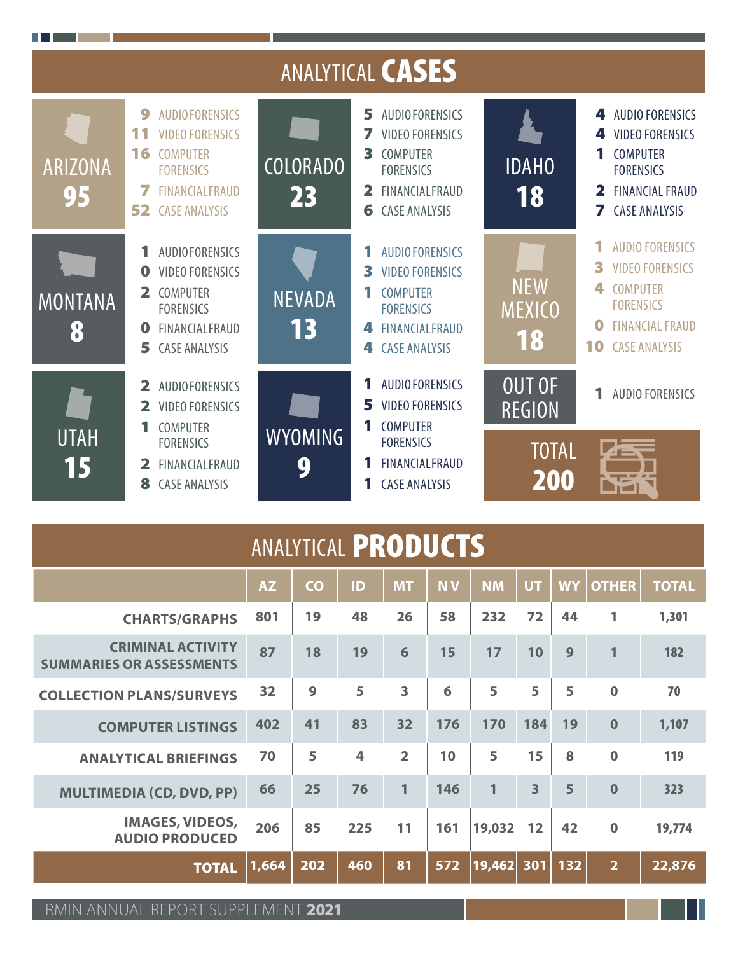|                      |                                                                                                                                                                     |                       | ANALYTICAL <b>CASES</b>                                                                                                                                                  |                                                       |                                                                                                                                                               |
|----------------------|---------------------------------------------------------------------------------------------------------------------------------------------------------------------|-----------------------|--------------------------------------------------------------------------------------------------------------------------------------------------------------------------|-------------------------------------------------------|---------------------------------------------------------------------------------------------------------------------------------------------------------------|
| <b>ARIZONA</b><br>95 | 9<br><b>AUDIOFORENSICS</b><br><b>VIDEO FORENSICS</b><br>11<br>16<br><b>COMPUTER</b><br><b>FORENSICS</b><br>7<br><b>FINANCIALFRAUD</b><br>52<br><b>CASE ANALYSIS</b> | <b>COLORADO</b><br>23 | 5<br><b>AUDIOFORENSICS</b><br><b>VIDEO FORENSICS</b><br>7<br>3<br>COMPUTER<br><b>FORENSICS</b><br>FINANCIALFRAUD<br>$\overline{\mathbf{2}}$<br>6<br><b>CASE ANALYSIS</b> | <b>IDAHO</b><br>18                                    | <b>AUDIO FORENSICS</b><br>4<br><b>VIDEO FORENSICS</b><br>4<br><b>COMPUTER</b><br><b>FORENSICS</b><br>2<br><b>FINANCIAL FRAUD</b><br>7<br><b>CASE ANALYSIS</b> |
| <b>MONTANA</b><br>8  | <b>AUDIOFORENSICS</b><br><b>VIDEO FORENSICS</b><br>O<br>COMPUTER<br><b>FORENSICS</b><br>FINANCIALFRAUD<br>O<br>5<br><b>CASE ANALYSIS</b>                            | <b>NEVADA</b><br>13   | <b>AUDIO FORENSICS</b><br>3<br><b>VIDEO FORENSICS</b><br><b>COMPUTER</b><br><b>FORENSICS</b><br><b>FINANCIALFRAUD</b><br>4<br><b>CASE ANALYSIS</b><br>4                  | <b>NEW</b><br><b>MEXICO</b><br>18                     | <b>AUDIO FORENSICS</b><br>R<br><b>VIDEO FORENSICS</b><br><b>COMPUTER</b><br><b>FORENSICS</b><br><b>FINANCIAL FRAUD</b><br>10<br><b>CASE ANALYSIS</b>          |
| <b>UTAH</b><br>15    | <b>AUDIOFORENSICS</b><br>$\overline{\mathbf{2}}$<br><b>VIDEO FORENSICS</b><br>COMPUTER<br><b>FORENSICS</b><br>FINANCIALFRAUD<br><b>CASE ANALYSIS</b><br>8           | <b>WYOMING</b><br>9   | 1<br><b>AUDIO FORENSICS</b><br>5<br><b>VIDEO FORENSICS</b><br><b>COMPUTER</b><br><b>FORENSICS</b><br><b>FINANCIALFRAUD</b><br><b>CASE ANALYSIS</b><br>1                  | <b>OUT OF</b><br><b>REGION</b><br><b>TOTAL</b><br>200 | <b>AUDIO FORENSICS</b><br>$\blacktriangle$                                                                                                                    |

| <b>ANALYTICAL PRODUCTS</b>                                                                                         |     |    |                         |                         |     |        |                         |    |              |        |
|--------------------------------------------------------------------------------------------------------------------|-----|----|-------------------------|-------------------------|-----|--------|-------------------------|----|--------------|--------|
| <b>NV</b><br><b>UT</b><br><b>AZ</b><br>$\overline{c}$<br>ID<br><b>NM</b><br><b>WY</b><br><b>MT</b><br><b>OTHER</b> |     |    |                         |                         |     |        |                         |    | <b>TOTAL</b> |        |
| <b>CHARTS/GRAPHS</b>                                                                                               | 801 | 19 | 48                      | 26                      | 58  | 232    | 72                      | 44 | 1            | 1,301  |
| <b>CRIMINAL ACTIVITY</b><br><b>SUMMARIES OR ASSESSMENTS</b>                                                        | 87  | 18 | 19                      | 6                       | 15  | 17     | 10                      | 9  | $\mathbf{1}$ | 182    |
| <b>COLLECTION PLANS/SURVEYS</b>                                                                                    | 32  | 9  | 5                       | $\overline{\mathbf{3}}$ | 6   | 5      | 5                       | 5  | $\Omega$     | 70     |
| <b>COMPUTER LISTINGS</b>                                                                                           | 402 | 41 | 83                      | 32                      | 176 | 170    | 184                     | 19 | $\Omega$     | 1,107  |
| <b>ANALYTICAL BRIEFINGS</b>                                                                                        | 70  | 5  | $\overline{\mathbf{4}}$ | $\overline{2}$          | 10  | 5      | 15                      | 8  | $\bf{0}$     | 119    |
| <b>MULTIMEDIA (CD, DVD, PP)</b>                                                                                    | 66  | 25 | 76                      | $\mathbf{1}$            | 146 | 1      | $\overline{\mathbf{3}}$ | 5  | $\Omega$     | 323    |
| <b>IMAGES, VIDEOS,</b><br><b>AUDIO PRODUCED</b>                                                                    | 206 | 85 | 225                     | 11                      | 161 | 19,032 | 12                      | 42 | $\bf{0}$     | 19,774 |
| 460<br>$\overline{2}$<br> 1,664<br>81<br>19,462<br>132<br>202<br>572<br>301<br><b>TOTAL</b>                        |     |    |                         |                         |     |        |                         |    | 22,876       |        |

RMIN ANNUAL REPORT SUPPLEMENT 2021

ш

. . .